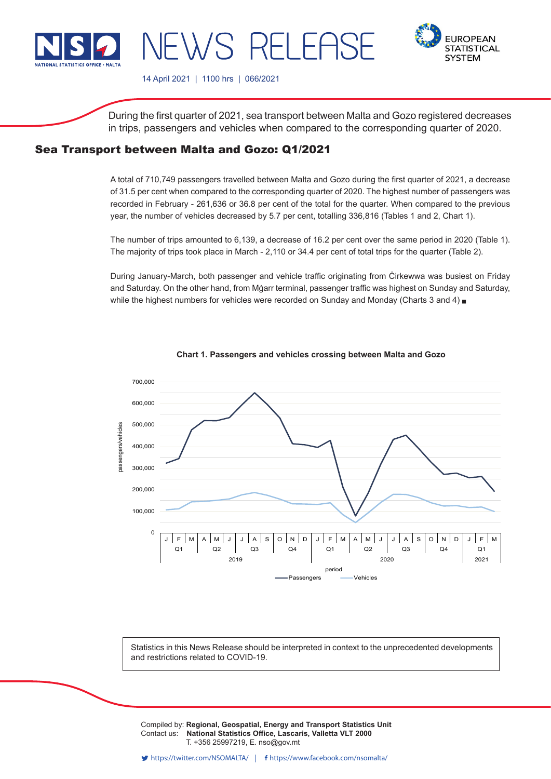

**EUROPEAN STATISTICAL SYSTEM** 

14 April 2021 | 1100 hrs | 066/2021

WS RELEF

During the first quarter of 2021, sea transport between Malta and Gozo registered decreases in trips, passengers and vehicles when compared to the corresponding quarter of 2020.

# Sea Transport between Malta and Gozo: Q1/2021

A total of 710,749 passengers travelled between Malta and Gozo during the first quarter of 2021, a decrease of 31.5 per cent when compared to the corresponding quarter of 2020. The highest number of passengers was recorded in February - 261,636 or 36.8 per cent of the total for the quarter. When compared to the previous year, the number of vehicles decreased by 5.7 per cent, totalling 336,816 (Tables 1 and 2, Chart 1).

The number of trips amounted to 6,139, a decrease of 16.2 per cent over the same period in 2020 (Table 1). The majority of trips took place in March - 2,110 or 34.4 per cent of total trips for the quarter (Table 2).

During January-March, both passenger and vehicle traffic originating from Ċirkewwa was busiest on Friday and Saturday. On the other hand, from Mġarr terminal, passenger traffic was highest on Sunday and Saturday, while the highest numbers for vehicles were recorded on Sunday and Monday (Charts 3 and 4)  $\Box$ 



**Chart 1. Passengers and vehicles crossing between Malta and Gozo**

Statistics in this News Release should be interpreted in context to the unprecedented developments and restrictions related to COVID-19.

Compiled by: **Regional, Geospatial, Energy and Transport Statistics Unit**<br>Contest use. **Notional Statistics Office, Legessie, Vallatte VLT 2000** Contact us: National Statistics Office, Lascaris, Valletta VLT 2000 Issued by: **Dissemination Unit, National Statistics Office, Lascaris, Valletta VLT 2000, Malta.** T. +356 25997219, E. nso@gov.mt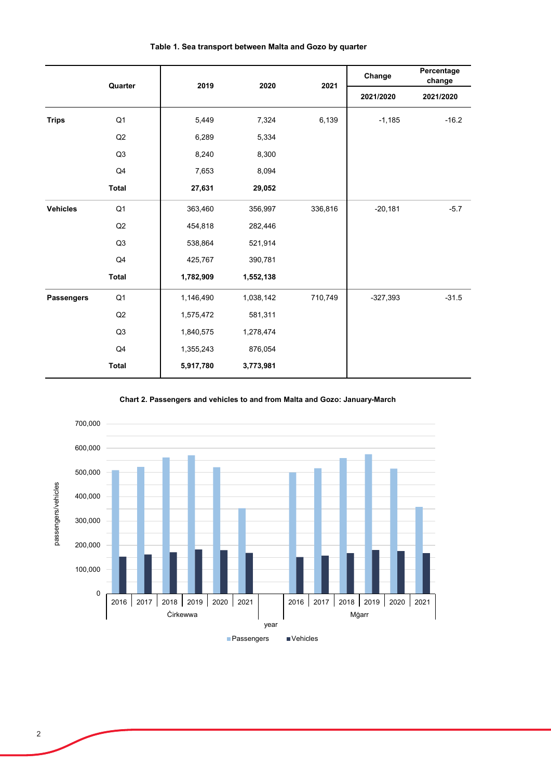|                   | Quarter        | 2019      | 2020      | 2021    | Change     | Percentage<br>change |  |
|-------------------|----------------|-----------|-----------|---------|------------|----------------------|--|
|                   |                |           |           |         | 2021/2020  | 2021/2020            |  |
| <b>Trips</b>      | Q1             | 5,449     | 7,324     | 6,139   | $-1,185$   | $-16.2$              |  |
|                   | Q2             | 6,289     | 5,334     |         |            |                      |  |
|                   | Q3             | 8,240     | 8,300     |         |            |                      |  |
|                   | Q4             | 7,653     | 8,094     |         |            |                      |  |
|                   | <b>Total</b>   | 27,631    | 29,052    |         |            |                      |  |
| <b>Vehicles</b>   | Q <sub>1</sub> | 363,460   | 356,997   | 336,816 | $-20,181$  | $-5.7$               |  |
|                   | Q2             | 454,818   | 282,446   |         |            |                      |  |
|                   | Q <sub>3</sub> | 538,864   | 521,914   |         |            |                      |  |
|                   | Q4             | 425,767   | 390,781   |         |            |                      |  |
|                   | <b>Total</b>   | 1,782,909 | 1,552,138 |         |            |                      |  |
| <b>Passengers</b> | Q1             | 1,146,490 | 1,038,142 | 710,749 | $-327,393$ | $-31.5$              |  |
|                   | Q2             | 1,575,472 | 581,311   |         |            |                      |  |
|                   | Q3             | 1,840,575 | 1,278,474 |         |            |                      |  |
|                   | Q4             | 1,355,243 | 876,054   |         |            |                      |  |
|                   | <b>Total</b>   | 5,917,780 | 3,773,981 |         |            |                      |  |

## **Table 1. Sea transport between Malta and Gozo by quarter**

**Chart 2. Passengers and vehicles to and from Malta and Gozo: January-March**

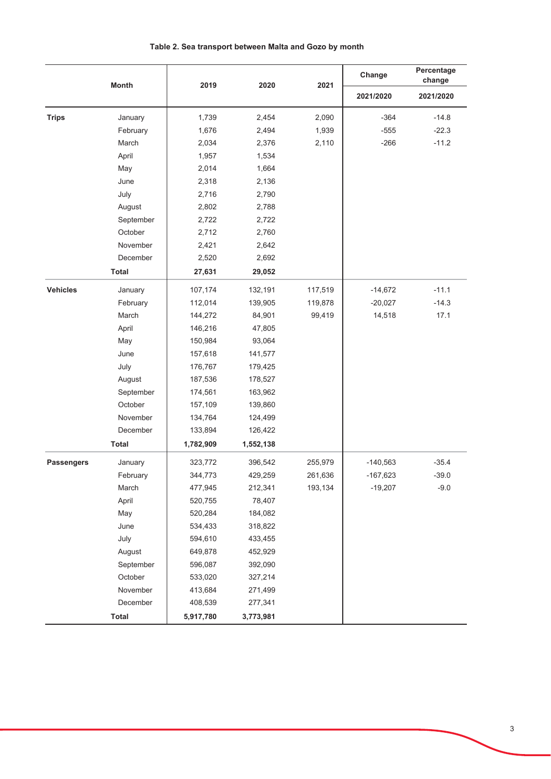|                   | <b>Month</b> | 2019      | 2020      | 2021    | Change     | Percentage<br>change |
|-------------------|--------------|-----------|-----------|---------|------------|----------------------|
|                   |              |           |           |         | 2021/2020  | 2021/2020            |
| <b>Trips</b>      | January      | 1,739     | 2,454     | 2,090   | $-364$     | $-14.8$              |
|                   | February     | 1,676     | 2,494     | 1,939   | $-555$     | $-22.3$              |
|                   | March        | 2,034     | 2,376     | 2,110   | $-266$     | $-11.2$              |
|                   | April        | 1,957     | 1,534     |         |            |                      |
|                   | May          | 2,014     | 1,664     |         |            |                      |
|                   | June         | 2,318     | 2,136     |         |            |                      |
|                   | July         | 2,716     | 2,790     |         |            |                      |
|                   | August       | 2,802     | 2,788     |         |            |                      |
|                   | September    | 2,722     | 2,722     |         |            |                      |
|                   | October      | 2,712     | 2,760     |         |            |                      |
|                   | November     | 2,421     | 2,642     |         |            |                      |
|                   | December     | 2,520     | 2,692     |         |            |                      |
|                   | <b>Total</b> | 27,631    | 29,052    |         |            |                      |
| <b>Vehicles</b>   | January      | 107,174   | 132,191   | 117,519 | $-14,672$  | $-11.1$              |
|                   | February     | 112,014   | 139,905   | 119,878 | $-20,027$  | $-14.3$              |
|                   | March        | 144,272   | 84,901    | 99,419  | 14,518     | 17.1                 |
|                   | April        | 146,216   | 47,805    |         |            |                      |
|                   | May          | 150,984   | 93,064    |         |            |                      |
|                   | June         | 157,618   | 141,577   |         |            |                      |
|                   | July         | 176,767   | 179,425   |         |            |                      |
|                   | August       | 187,536   | 178,527   |         |            |                      |
|                   | September    | 174,561   | 163,962   |         |            |                      |
|                   | October      | 157,109   | 139,860   |         |            |                      |
|                   | November     | 134,764   | 124,499   |         |            |                      |
|                   | December     | 133,894   | 126,422   |         |            |                      |
|                   | <b>Total</b> | 1,782,909 | 1,552,138 |         |            |                      |
| <b>Passengers</b> | January      | 323,772   | 396,542   | 255,979 | $-140,563$ | $-35.4$              |
|                   | February     | 344,773   | 429,259   | 261,636 | $-167,623$ | $-39.0$              |
|                   | March        | 477,945   | 212,341   | 193,134 | $-19,207$  | $-9.0$               |
|                   | April        | 520,755   | 78,407    |         |            |                      |
|                   | May          | 520,284   | 184,082   |         |            |                      |
|                   | June         | 534,433   | 318,822   |         |            |                      |
|                   | July         | 594,610   | 433,455   |         |            |                      |
|                   | August       | 649,878   | 452,929   |         |            |                      |
|                   | September    | 596,087   | 392,090   |         |            |                      |
|                   | October      | 533,020   | 327,214   |         |            |                      |
|                   | November     | 413,684   | 271,499   |         |            |                      |
|                   | December     | 408,539   | 277,341   |         |            |                      |
|                   | <b>Total</b> | 5,917,780 | 3,773,981 |         |            |                      |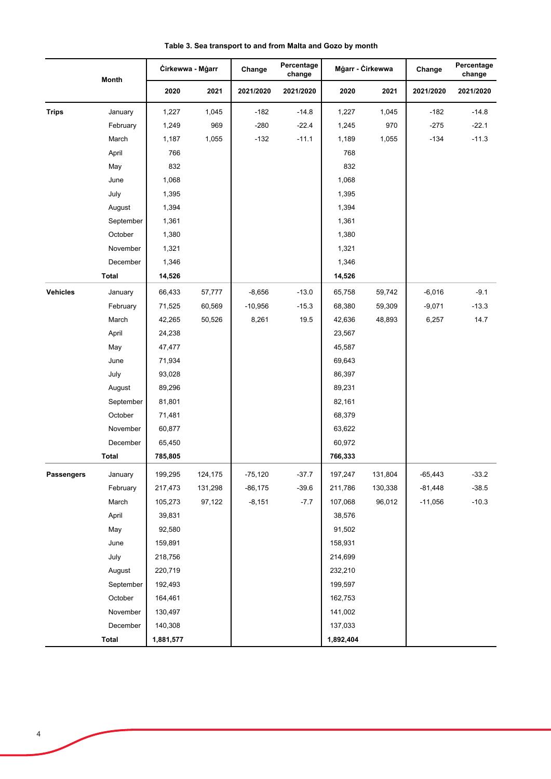|                 | Month        | Cirkewwa - Mgarr |         | Change    | Percentage<br>change | Mġarr - Cirkewwa |         | Change    | Percentage<br>change |
|-----------------|--------------|------------------|---------|-----------|----------------------|------------------|---------|-----------|----------------------|
|                 |              | 2020             | 2021    | 2021/2020 | 2021/2020            | 2020             | 2021    | 2021/2020 | 2021/2020            |
| <b>Trips</b>    | January      | 1,227            | 1,045   | $-182$    | $-14.8$              | 1,227            | 1,045   | $-182$    | $-14.8$              |
|                 | February     | 1,249            | 969     | $-280$    | $-22.4$              | 1,245            | 970     | $-275$    | $-22.1$              |
|                 | March        | 1,187            | 1,055   | $-132$    | $-11.1$              | 1,189            | 1,055   | $-134$    | $-11.3$              |
|                 | April        | 766              |         |           |                      | 768              |         |           |                      |
|                 | May          | 832              |         |           |                      | 832              |         |           |                      |
|                 | June         | 1,068            |         |           |                      | 1,068            |         |           |                      |
|                 | July         | 1,395            |         |           |                      | 1,395            |         |           |                      |
|                 | August       | 1,394            |         |           |                      | 1,394            |         |           |                      |
|                 | September    | 1,361            |         |           |                      | 1,361            |         |           |                      |
|                 | October      | 1,380            |         |           |                      | 1,380            |         |           |                      |
|                 | November     | 1,321            |         |           |                      | 1,321            |         |           |                      |
|                 | December     | 1,346            |         |           |                      | 1,346            |         |           |                      |
|                 | <b>Total</b> | 14,526           |         |           |                      | 14,526           |         |           |                      |
| <b>Vehicles</b> | January      | 66,433           | 57,777  | $-8,656$  | $-13.0$              | 65,758           | 59,742  | $-6,016$  | $-9.1$               |
|                 | February     | 71,525           | 60,569  | $-10,956$ | $-15.3$              | 68,380           | 59,309  | $-9,071$  | $-13.3$              |
|                 | March        | 42,265           | 50,526  | 8,261     | 19.5                 | 42,636           | 48,893  | 6,257     | 14.7                 |
|                 | April        | 24,238           |         |           |                      | 23,567           |         |           |                      |
|                 | May          | 47,477           |         |           |                      | 45,587           |         |           |                      |
|                 | June         | 71,934           |         |           |                      | 69,643           |         |           |                      |
|                 | July         | 93,028           |         |           |                      | 86,397           |         |           |                      |
|                 | August       | 89,296           |         |           |                      | 89,231           |         |           |                      |
|                 | September    | 81,801           |         |           |                      | 82,161           |         |           |                      |
|                 | October      | 71,481           |         |           |                      | 68,379           |         |           |                      |
|                 | November     | 60,877           |         |           |                      | 63,622           |         |           |                      |
|                 | December     | 65,450           |         |           |                      | 60,972           |         |           |                      |
|                 | Total        | 785,805          |         |           |                      | 766,333          |         |           |                      |
| Passengers      | January      | 199,295          | 124,175 | $-75,120$ | $-37.7$              | 197,247          | 131,804 | $-65,443$ | $-33.2$              |
|                 | February     | 217,473          | 131,298 | $-86,175$ | $-39.6$              | 211,786          | 130,338 | $-81,448$ | $-38.5$              |
|                 | March        | 105,273          | 97,122  | $-8,151$  | $-7.7$               | 107,068          | 96,012  | $-11,056$ | $-10.3$              |
|                 | April        | 39,831           |         |           |                      | 38,576           |         |           |                      |
|                 | May          | 92,580           |         |           |                      | 91,502           |         |           |                      |
|                 | June         | 159,891          |         |           |                      | 158,931          |         |           |                      |
|                 | July         | 218,756          |         |           |                      | 214,699          |         |           |                      |
|                 | August       | 220,719          |         |           |                      | 232,210          |         |           |                      |
|                 | September    | 192,493          |         |           |                      | 199,597          |         |           |                      |
|                 | October      | 164,461          |         |           |                      | 162,753          |         |           |                      |
|                 | November     | 130,497          |         |           |                      | 141,002          |         |           |                      |
|                 | December     | 140,308          |         |           |                      | 137,033          |         |           |                      |
|                 | <b>Total</b> | 1,881,577        |         |           |                      | 1,892,404        |         |           |                      |

**Table 3. Sea transport to and from Malta and Gozo by month**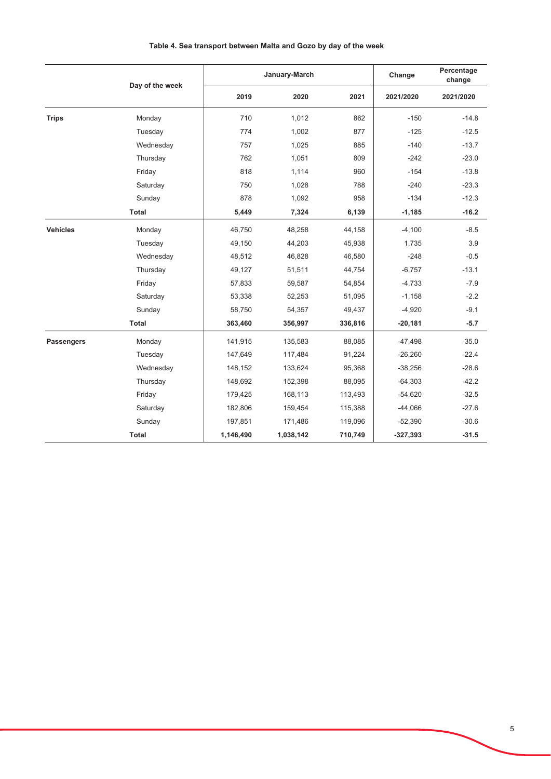|                   | Day of the week | January-March |           |         | Change     | Percentage<br>change |
|-------------------|-----------------|---------------|-----------|---------|------------|----------------------|
|                   |                 | 2019          | 2020      | 2021    | 2021/2020  | 2021/2020            |
| <b>Trips</b>      | Monday          | 710           | 1,012     | 862     | $-150$     | $-14.8$              |
|                   | Tuesday         | 774           | 1,002     | 877     | $-125$     | $-12.5$              |
|                   | Wednesday       | 757           | 1,025     | 885     | $-140$     | $-13.7$              |
|                   | Thursday        | 762           | 1,051     | 809     | $-242$     | $-23.0$              |
|                   | Friday          | 818           | 1,114     | 960     | $-154$     | $-13.8$              |
|                   | Saturday        | 750           | 1,028     | 788     | $-240$     | $-23.3$              |
|                   | Sunday          | 878           | 1,092     | 958     | $-134$     | $-12.3$              |
|                   | Total           | 5,449         | 7,324     | 6,139   | $-1,185$   | $-16.2$              |
| <b>Vehicles</b>   | Monday          | 46,750        | 48,258    | 44,158  | $-4,100$   | $-8.5$               |
|                   | Tuesday         | 49,150        | 44,203    | 45,938  | 1,735      | 3.9                  |
|                   | Wednesday       | 48,512        | 46,828    | 46,580  | $-248$     | $-0.5$               |
|                   | Thursday        | 49,127        | 51,511    | 44,754  | $-6,757$   | $-13.1$              |
|                   | Friday          | 57,833        | 59,587    | 54,854  | $-4,733$   | $-7.9$               |
|                   | Saturday        | 53,338        | 52,253    | 51,095  | $-1,158$   | $-2.2$               |
|                   | Sunday          | 58,750        | 54,357    | 49,437  | $-4,920$   | $-9.1$               |
|                   | Total           | 363,460       | 356,997   | 336,816 | $-20,181$  | $-5.7$               |
| <b>Passengers</b> | Monday          | 141,915       | 135,583   | 88,085  | $-47,498$  | $-35.0$              |
|                   | Tuesday         | 147,649       | 117,484   | 91,224  | $-26,260$  | $-22.4$              |
|                   | Wednesday       | 148,152       | 133,624   | 95,368  | $-38,256$  | $-28.6$              |
|                   | Thursday        | 148,692       | 152,398   | 88,095  | $-64,303$  | $-42.2$              |
|                   | Friday          | 179,425       | 168,113   | 113,493 | $-54,620$  | $-32.5$              |
|                   | Saturday        | 182,806       | 159,454   | 115,388 | $-44,066$  | $-27.6$              |
|                   | Sunday          | 197,851       | 171,486   | 119,096 | $-52,390$  | $-30.6$              |
|                   | <b>Total</b>    | 1,146,490     | 1,038,142 | 710,749 | $-327,393$ | $-31.5$              |

## Table 4. Sea transport between Malta and Gozo by day of the week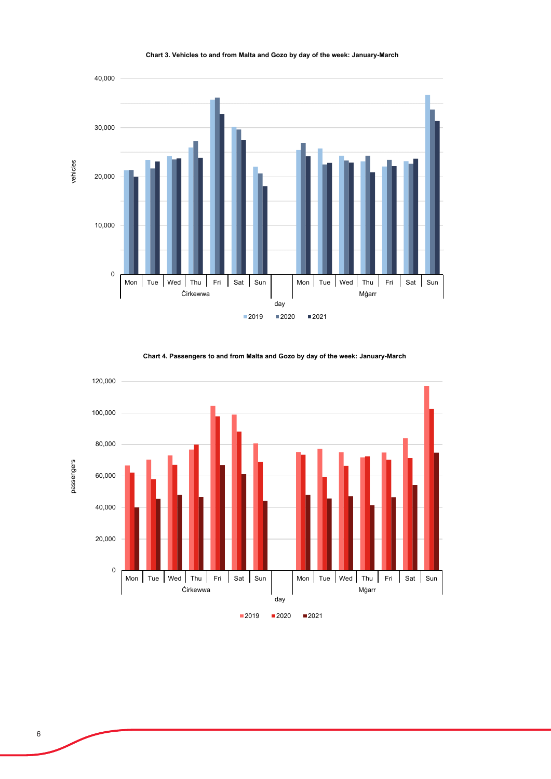

### **Chart 3. Vehicles to and from Malta and Gozo by day of the week: January-March**



**Chart 4. Passengers to and from Malta and Gozo by day of the week: January-March**